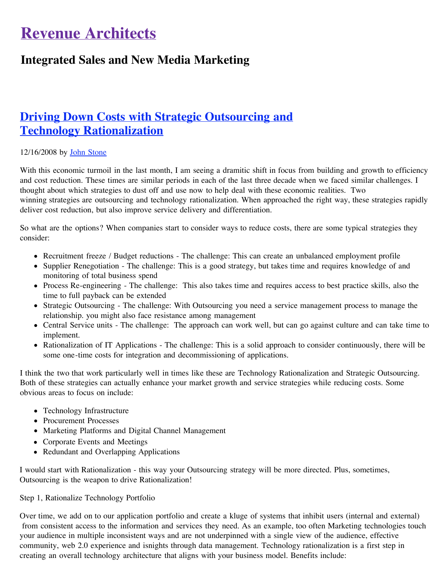# **Revenue Architects**

## **Integrated Sales and New Media Marketing**

## **[Driving Down Costs with Strategic Outsourcing and](http://revenuearchitects.com/2008/12/16/driving-down-costs-with-strategic-outsourcing-and-technology-rationalization/) Technology Rationalization**

### 12/16/2008 by [John Stone](http://revenuearchitects.com/about/)

With this economic turmoil in the last month, I am seeing a dramitic shift in focus from building and growth to efficiency and cost reduction. These times are similar periods in each of the last three decade when we faced similar challenges. I thought about which strategies to dust off and use now to help deal with these economic realities. Two winning strategies are outsourcing and technology rationalization. When approached the right way, these strategies rapidly deliver cost reduction, but also improve service delivery and differentiation.

So what are the options? When companies start to consider ways to reduce costs, there are some typical strategies they consider:

- Recruitment freeze / Budget reductions The challenge: This can create an unbalanced employment profile
- Supplier Renegotiation The challenge: This is a good strategy, but takes time and requires knowledge of and monitoring of total business spend
- Process Re-engineering The challenge: This also takes time and requires access to best practice skills, also the time to full payback can be extended
- Strategic Outsourcing The challenge: With Outsourcing you need a service management process to manage the relationship. you might also face resistance among management
- Central Service units The challenge: The approach can work well, but can go against culture and can take time to implement.
- Rationalization of IT Applications The challenge: This is a solid approach to consider continuously, there will be some one-time costs for integration and decommissioning of applications.

I think the two that work particularly well in times like these are Technology Rationalization and Strategic Outsourcing. Both of these strategies can actually enhance your market growth and service strategies while reducing costs. Some obvious areas to focus on include:

- Technology Infrastructure
- Procurement Processes
- Marketing Platforms and Digital Channel Management
- Corporate Events and Meetings
- Redundant and Overlapping Applications

I would start with Rationalization - this way your Outsourcing strategy will be more directed. Plus, sometimes, Outsourcing is the weapon to drive Rationalization!

#### Step 1, Rationalize Technology Portfolio

Over time, we add on to our application portfolio and create a kluge of systems that inhibit users (internal and external) from consistent access to the information and services they need. As an example, too often Marketing technologies touch your audience in multiple inconsistent ways and are not underpinned with a single view of the audience, effective community, web 2.0 experience and isnights through data management. Technology rationalization is a first step in creating an overall technology architecture that aligns with your business model. Benefits include: